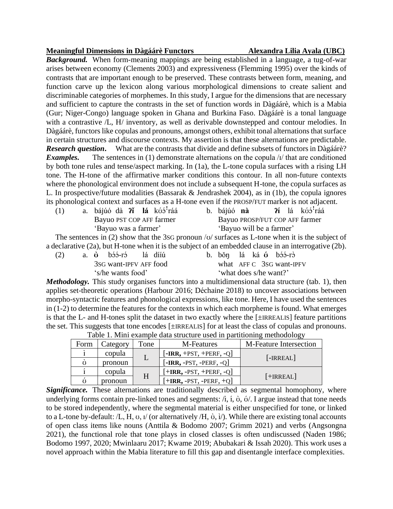## **Meaningful Dimensions in Dàgáárè Functors Alexandra Lilia Ayala (UBC)**

*Background.* When form-meaning mappings are being established in a language, a tug-of-war arises between economy (Clements 2003) and expressiveness (Flemming 1995) over the kinds of contrasts that are important enough to be preserved. These contrasts between form, meaning, and function carve up the lexicon along various morphological dimensions to create salient and discriminable categories of morphemes. In this study, I argue for the dimensions that are necessary and sufficient to capture the contrasts in the set of function words in Dàgáárè, which is a Mabia (Gur; Niger-Congo) language spoken in Ghana and Burkina Faso. Dàgáárè is a tonal language with a contrastive  $/L$ , H/ inventory, as well as derivable downstepped and contour melodies. In Dàgáárè, functors like copulas and pronouns, amongst others, exhibit tonal alternations that surface in certain structures and discourse contexts. My assertion is that these alternations are predictable. *Research question***.** What are the contrasts that divide and define subsets of functors in Dàgáárè? *Examples.* The sentences in (1) demonstrate alternations on the copula /ɪ/ that are conditioned by both tone rules and tense/aspect marking. In (1a), the L-tone copula surfaces with a rising LH tone. The H-tone of the affirmative marker conditions this contour. In all non-future contexts where the phonological environment does not include a subsequent H-tone, the copula surfaces as L. In prospective/future modalities (Bassarak & Jendrashek 2004), as in (1b), the copula ignores its phonological context and surfaces as a H-tone even if the PROSP/FUT marker is not adjacent.

- (1) a. bájúó dà **ʔɪ̌ lá** kʊ́ɔ́ ꜝráá Bayuo PST COP AFF farmer 'Bayuo was a farmer'
- b. bájúó nà lá kóó<sup>1</sup>ráá Bayuo PROSP/FUT COP AFF farmer 'Bayuo will be a farmer'

The sentences in (2) show that the 3SG pronoun /ʊ/ surfaces as L-tone when it is the subject of a declarative (2a), but H-tone when it is the subject of an embedded clause in an interrogative (2b).

| (2)               |  |  | a. <del>ò</del> bóó-ró lá dííú |  |  |  |  |  |  | b. bốn lá ká <b>ó</b> bớ hón |  |
|-------------------|--|--|--------------------------------|--|--|--|--|--|--|------------------------------|--|
|                   |  |  | 3sG want-IPFV AFF food         |  |  |  |  |  |  | what AFF C 3sG want-IPFV     |  |
| 's/he wants food' |  |  | 'what does s/he want?'         |  |  |  |  |  |  |                              |  |
|                   |  |  |                                |  |  |  |  |  |  |                              |  |

*Methodology.* This study organises functors into a multidimensional data structure (tab. 1), then applies set-theoretic operations (Harbour 2016; Déchaine 2018) to uncover associations between morpho-syntactic features and phonological expressions, like tone. Here, I have used the sentences in (1-2) to determine the features for the contexts in which each morpheme is found. What emerges is that the L- and H-tones split the dataset in two exactly where the [±IRREALIS] feature partitions the set. This suggests that tone encodes [±IRREALIS] for at least the class of copulas and pronouns.

| Tuoto 11 minii onumpio uuu su'uotuto usou in puruttoimin mothouseston |          |      |                                                                        |                               |  |
|-----------------------------------------------------------------------|----------|------|------------------------------------------------------------------------|-------------------------------|--|
| Form                                                                  | Category | Tone | M-Features                                                             | <b>M-Feature Intersection</b> |  |
|                                                                       | copula   |      | $[-IRR, +PST, +PERF, -Q]$                                              |                               |  |
| Ω                                                                     | pronoun  |      | $\left[ - \text{IRR}, - \text{PST}, - \text{PERF}, - \text{Q} \right]$ | $[ - IRREAL]$                 |  |
|                                                                       | copula   | H    | $[+IRR, -PST, +PERF, -Q]$                                              |                               |  |
|                                                                       | pronoun  |      | $[+IRR, -PST, -PERF, +Q]$                                              | $[+IRREAL]$                   |  |

Table 1. Mini example data structure used in partitioning methodology

**Significance.** These alternations are traditionally described as segmental homophony, where underlying forms contain pre-linked tones and segments:  $\land$ , i,  $\Diamond$ ,  $\Diamond$ ,  $\Diamond$ . I argue instead that tone needs to be stored independently, where the segmental material is either unspecified for tone, or linked to a L-tone by-default: /L, H,  $\sigma$ ,  $\sigma$  / (or alternatively /H,  $\dot{\sigma}$ ,  $\dot{\sigma}$ ). While there are existing tonal accounts of open class items like nouns (Anttila & Bodomo 2007; Grimm 2021) and verbs (Angsongna 2021), the functional role that tone plays in closed classes is often undiscussed (Naden 1986; Bodomo 1997, 2020; Mwinlaaru 2017; Kwame 2019; Abubakari & Issah 2020). This work uses a novel approach within the Mabia literature to fill this gap and disentangle interface complexities.